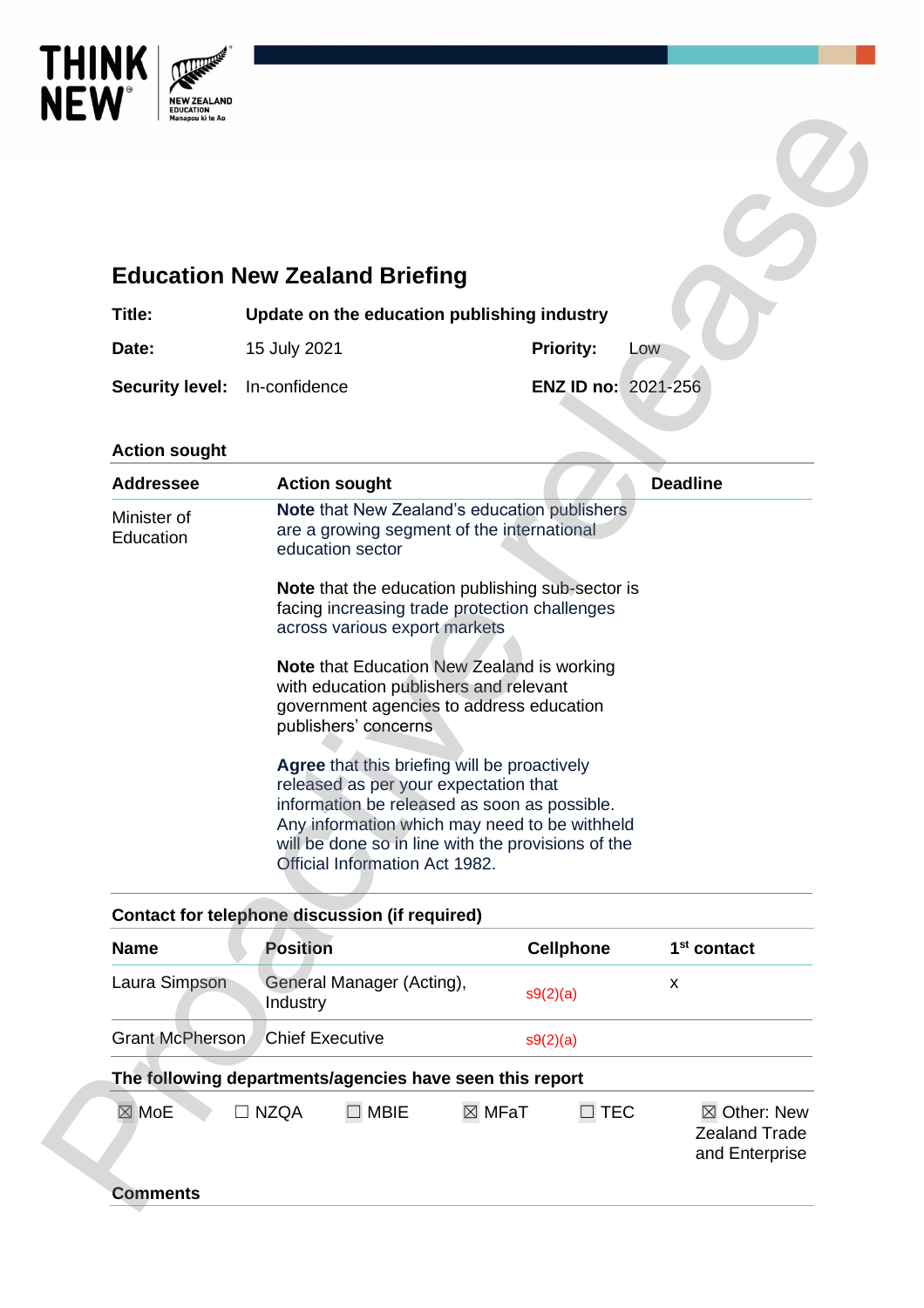

# **Education New Zealand Briefing**

| Title:                               | Update on the education publishing industry |                            |     |
|--------------------------------------|---------------------------------------------|----------------------------|-----|
| Date:                                | 15 July 2021                                | <b>Priority:</b>           | LOW |
| <b>Security level:</b> In-confidence |                                             | <b>ENZ ID no: 2021-256</b> |     |

### **Action sought**

|                          | <b>Education New Zealand Briefing</b>                                                                          |                  |                     |                                                |
|--------------------------|----------------------------------------------------------------------------------------------------------------|------------------|---------------------|------------------------------------------------|
| Title:                   | Update on the education publishing industry                                                                    |                  |                     |                                                |
| Date:                    | 15 July 2021                                                                                                   | <b>Priority:</b> | LOW                 |                                                |
| <b>Security level:</b>   | In-confidence                                                                                                  |                  | ENZ ID no: 2021-256 |                                                |
|                          |                                                                                                                |                  |                     |                                                |
| <b>Action sought</b>     |                                                                                                                |                  |                     |                                                |
| <b>Addressee</b>         | <b>Action sought</b>                                                                                           |                  |                     | <b>Deadline</b>                                |
| Minister of<br>Education | Note that New Zealand's education publishers<br>are a growing segment of the international<br>education sector |                  |                     |                                                |
|                          | Note that the education publishing sub-sector is<br>facing increasing trade protection challenges              |                  |                     |                                                |
|                          | across various export markets                                                                                  |                  |                     |                                                |
|                          | <b>Note that Education New Zealand is working</b><br>with education publishers and relevant                    |                  |                     |                                                |
|                          | government agencies to address education                                                                       |                  |                     |                                                |
|                          | publishers' concerns.                                                                                          |                  |                     |                                                |
|                          | Agree that this briefing will be proactively                                                                   |                  |                     |                                                |
|                          | released as per your expectation that<br>information be released as soon as possible.                          |                  |                     |                                                |
|                          | Any information which may need to be withheld<br>will be done so in line with the provisions of the            |                  |                     |                                                |
|                          | Official Information Act 1982.                                                                                 |                  |                     |                                                |
|                          | <b>Contact for telephone discussion (if required)</b>                                                          |                  |                     |                                                |
| <b>Name</b>              | <b>Position</b>                                                                                                | <b>Cellphone</b> |                     | 1 <sup>st</sup> contact                        |
| Laura Simpson            | General Manager (Acting),<br>Industry                                                                          | s9(2)(a)         | X                   |                                                |
| Grant McPherson          | <b>Chief Executive</b>                                                                                         | s9(2)(a)         |                     |                                                |
|                          | The following departments/agencies have seen this report                                                       |                  |                     |                                                |
| $\boxtimes$ MoE          | <b>NZQA</b><br>$\Box$ MBIE                                                                                     | ⊠ MFaT           | $\Box$ TEC          | $\boxtimes$ Other: New<br><b>Zealand Trade</b> |

# **Contact for telephone discussion (if required)**

| <b>Name</b>     | <b>Position</b>                                          | <b>Cellphone</b>               | 1 <sup>st</sup> contact                                          |
|-----------------|----------------------------------------------------------|--------------------------------|------------------------------------------------------------------|
| Laura Simpson   | General Manager (Acting),<br>Industry                    | s9(2)(a)                       | x                                                                |
| Grant McPherson | <b>Chief Executive</b>                                   | s9(2)(a)                       |                                                                  |
|                 | The following departments/agencies have seen this report |                                |                                                                  |
| $\boxtimes$ MoE | <b>MBIE</b><br>NZQA                                      | $\boxtimes$ MFaT<br><b>TEC</b> | $\boxtimes$ Other: New<br><b>Zealand Trade</b><br>and Enterprise |
| Comments        |                                                          |                                |                                                                  |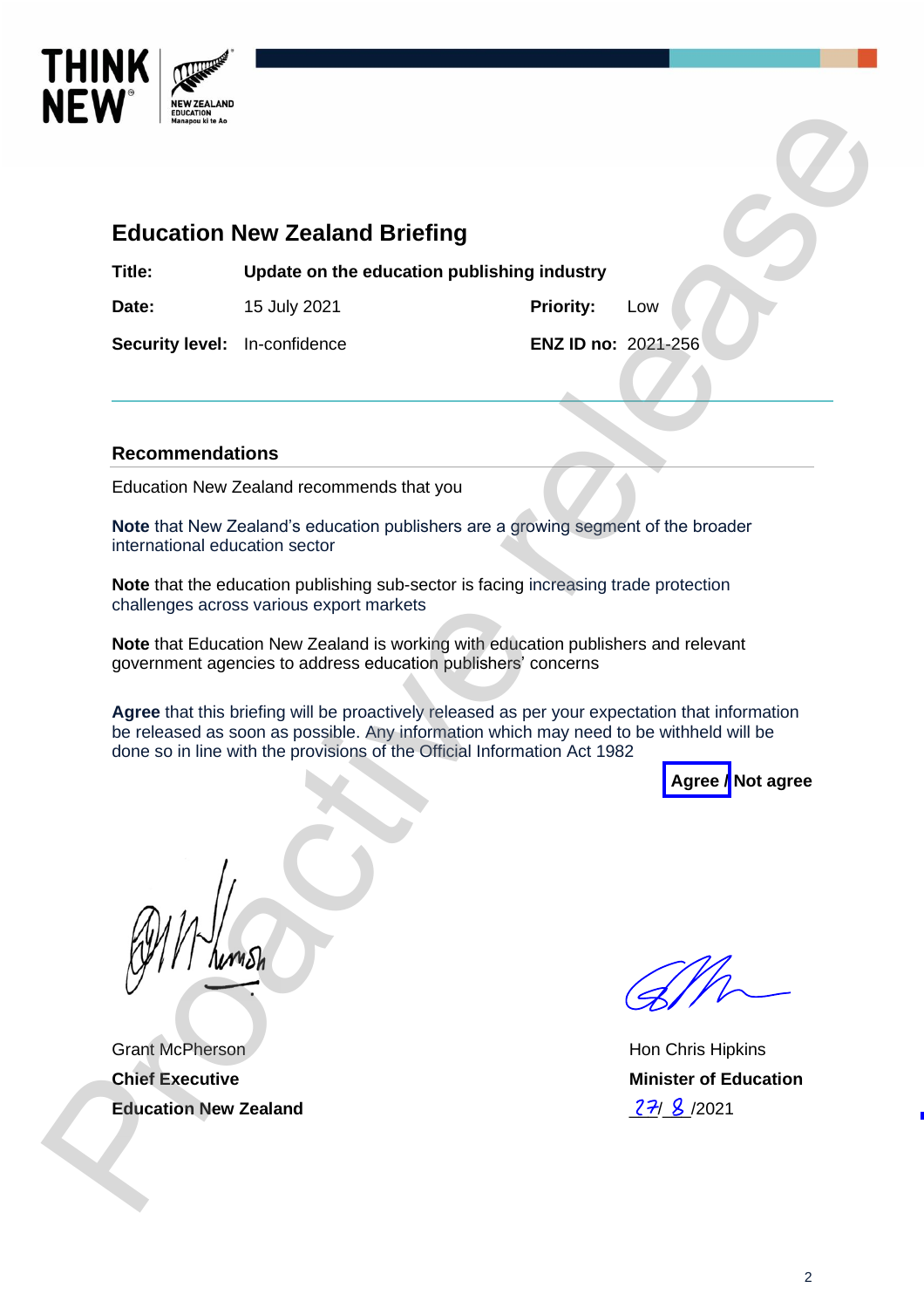

# **Education New Zealand Briefing**

**Title: Update on the education publishing industry**

**Date:** 15 July 2021 **Priority:** Low

**Security level:** In-confidence **ENZ ID no:** 2021-256

### **Recommendations**

Education New Zealand recommends that you

**Note** that New Zealand's education publishers are a growing segment of the broader international education sector

**Note** that the education publishing sub-sector is facing increasing trade protection challenges across various export markets

**Note** that Education New Zealand is working with education publishers and relevant government agencies to address education publishers' concerns

**Agree** that this briefing will be proactively released as per your expectation that information be released as soon as possible. Any information which may need to be withheld will be done so in line with the provisions of the Official Information Act 1982 **Processor Contained Briefing Transformation of the Contained Briefing Transformation of the experimental Security level:** In-confidence in Briefing industry Priority. Low Recommendations Ethical Dre and Security level: I



Grant McPherson **Chief Executive Education New Zealand**

Hon Chris Hipkins **Minister of Education**  $27/8$  /2021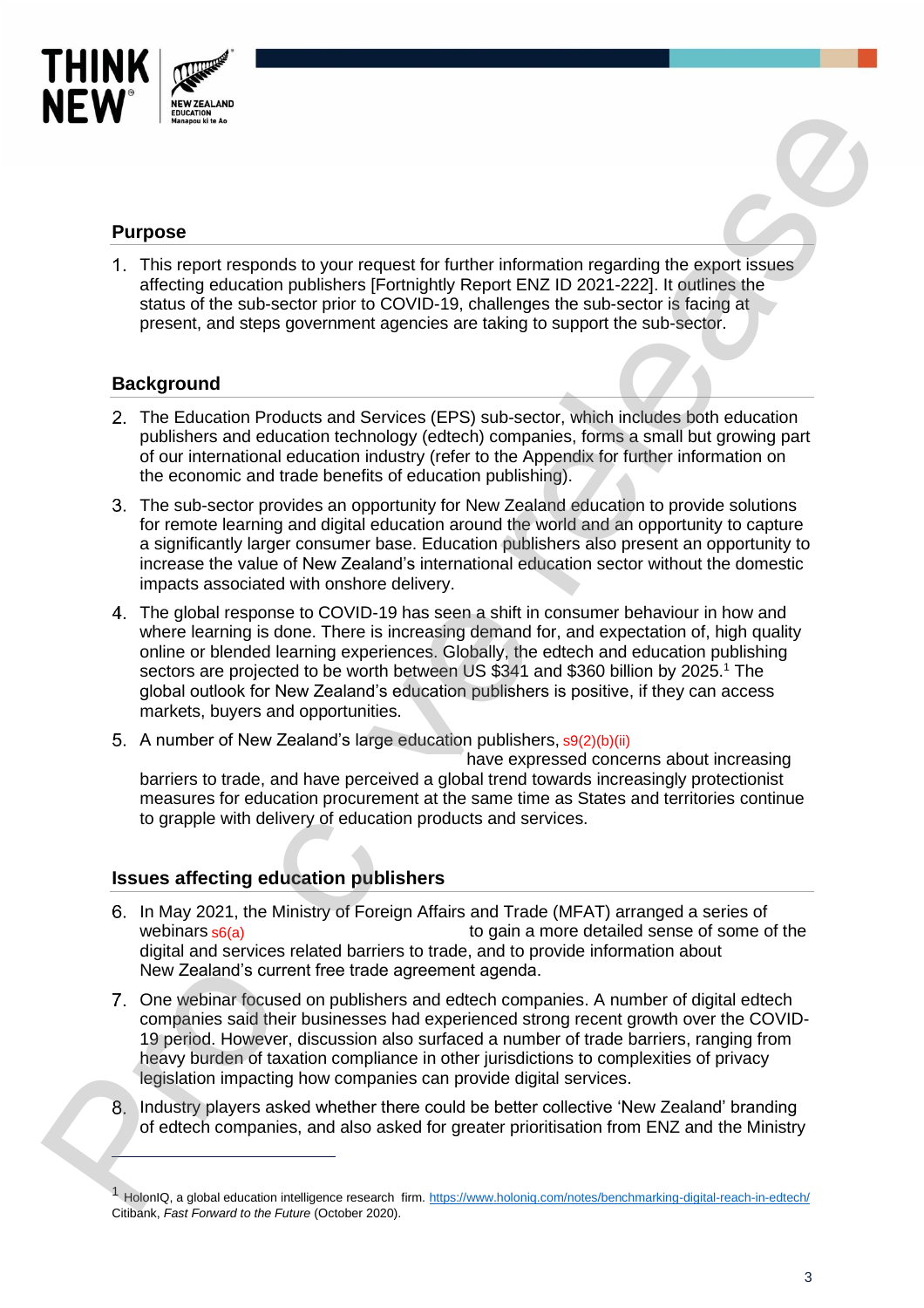

# **Purpose**

This report responds to your request for further information regarding the export issues affecting education publishers [Fortnightly Report ENZ ID 2021-222]. It outlines the status of the sub-sector prior to COVID-19, challenges the sub-sector is facing at present, and steps government agencies are taking to support the sub-sector.

### **Background**

- The Education Products and Services (EPS) sub-sector, which includes both education publishers and education technology (edtech) companies, forms a small but growing part of our international education industry (refer to the Appendix for further information on the economic and trade benefits of education publishing).
- The sub-sector provides an opportunity for New Zealand education to provide solutions for remote learning and digital education around the world and an opportunity to capture a significantly larger consumer base. Education publishers also present an opportunity to increase the value of New Zealand's international education sector without the domestic impacts associated with onshore delivery.
- The global response to COVID-19 has seen a shift in consumer behaviour in how and where learning is done. There is increasing demand for, and expectation of, high quality online or blended learning experiences. Globally, the edtech and education publishing sectors are projected to be worth between US \$341 and \$360 billion by 2025.<sup>1</sup> The global outlook for New Zealand's education publishers is positive, if they can access markets, buyers and opportunities. **Propose**<br>
The respective point required by the relationship informalism counting the automatical<br>
1. This issue change is one required by the relationship informalism counting the automatical<br>
signals of the sub-scalar p
	- A number of New Zealand's large education publishers, s9(2)(b)(ii)

 have expressed concerns about increasing barriers to trade, and have perceived a global trend towards increasingly protectionist measures for education procurement at the same time as States and territories continue to grapple with delivery of education products and services.

# **Issues affecting education publishers**

- In May 2021, the Ministry of Foreign Affairs and Trade (MFAT) arranged a series of to gain a more detailed sense of some of the digital and services related barriers to trade, and to provide information about New Zealand's current free trade agreement agenda. webinars  $s6(a)$
- One webinar focused on publishers and edtech companies. A number of digital edtech companies said their businesses had experienced strong recent growth over the COVID-19 period. However, discussion also surfaced a number of trade barriers, ranging from heavy burden of taxation compliance in other jurisdictions to complexities of privacy legislation impacting how companies can provide digital services.
- 8. Industry players asked whether there could be better collective 'New Zealand' branding of edtech companies, and also asked for greater prioritisation from ENZ and the Ministry

HolonIQ, a global education intelligence research firm[. https://www.holoniq.com/notes/benchmarking-digital-reach-in-edtech/](https://www.holoniq.com/notes/benchmarking-digital-reach-in-edtech/) Citibank, *Fast Forward to the Future* (October 2020).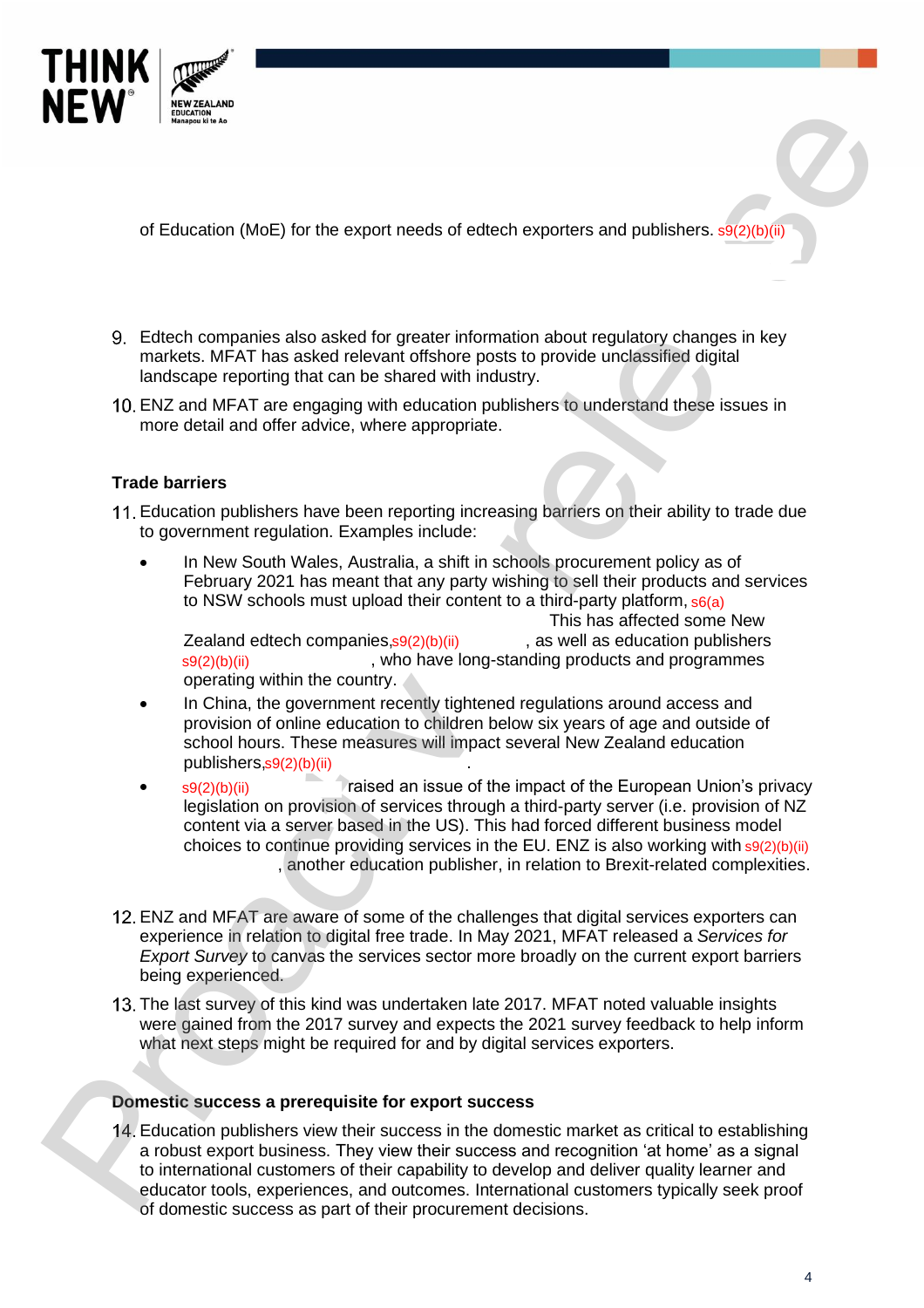

of Education (MoE) for the export needs of edtech exporters and publishers. s9(2)(b)(ii)

- Edtech companies also asked for greater information about regulatory changes in key markets. MFAT has asked relevant offshore posts to provide unclassified digital landscape reporting that can be shared with industry.
- ENZ and MFAT are engaging with education publishers to understand these issues in more detail and offer advice, where appropriate.

### **Trade barriers**

- Education publishers have been reporting increasing barriers on their ability to trade due to government regulation. Examples include:
	- In New South Wales, Australia, a shift in schools procurement policy as of February 2021 has meant that any party wishing to sell their products and services to NSW schools must upload their content to a third-party platform, s6(a)

This has affected some New<br>, as well as education publishers  $Z$ ealand edtech companies,  $s$ 9(2)(b)(ii) , who have long-standing products and programmes operating within the country.

- In China, the government recently tightened regulations around access and provision of online education to children below six years of age and outside of school hours. These measures will impact several New Zealand education publishers,s9(2)(b)(ii) **show that is a set of the set of the set of the set of the set of the set o** Zealand edtech companies,  $s9(2)(b)(ii)$ <br>  $s9(2)(b)(ii)$ , who have<br>
operating within the country.<br>
In China, the government recently tig<br>
provision of online education to child<br>
school hours. These measures will in<br>
publishers,
- $s9(2)(b)(ii)$  raised an issue of the impact of the European Union's privacy legislation on provision of services through a third-party server (i.e. provision of NZ content via a server based in the US). This had forced different business model choices to continue providing services in the EU. ENZ is also working with s9(2)(b)(ii) , another education publisher, in relation to Brexit-related complexities. **Profile of Education (AGE)** for the export needs of education approach and publishers. Which is a method of the second test virtual contents and publishers, which contents and a method of the second of the second of the
	- ENZ and MFAT are aware of some of the challenges that digital services exporters can experience in relation to digital free trade. In May 2021, MFAT released a *Services for Export Survey* to canvas the services sector more broadly on the current export barriers being experienced.
	- 13. The last survey of this kind was undertaken late 2017. MFAT noted valuable insights were gained from the 2017 survey and expects the 2021 survey feedback to help inform what next steps might be required for and by digital services exporters.

#### **Domestic success a prerequisite for export success**

Education publishers view their success in the domestic market as critical to establishing a robust export business. They view their success and recognition 'at home' as a signal to international customers of their capability to develop and deliver quality learner and educator tools, experiences, and outcomes. International customers typically seek proof of domestic success as part of their procurement decisions.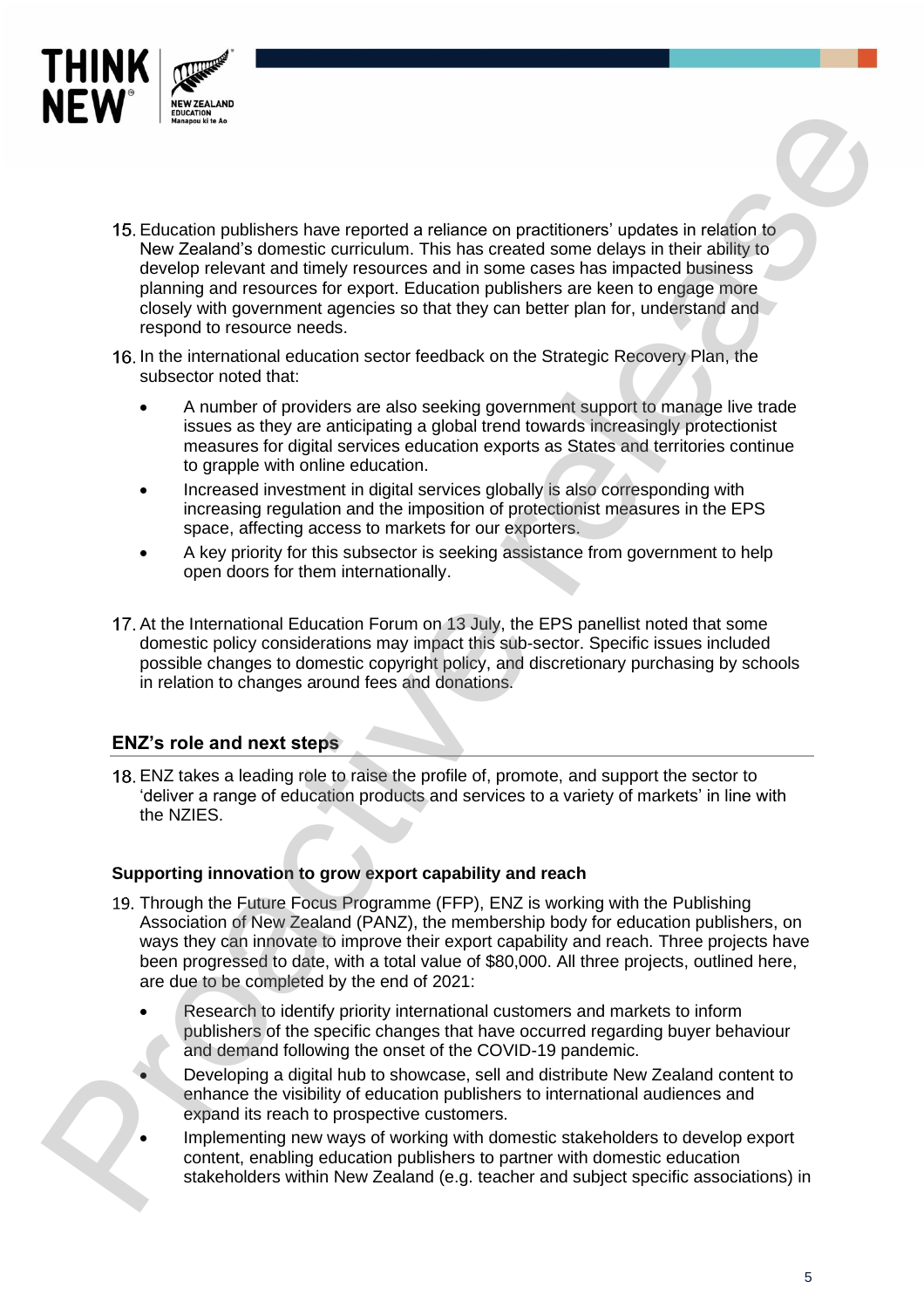

- 15. Education publishers have reported a reliance on practitioners' updates in relation to New Zealand's domestic curriculum. This has created some delays in their ability to develop relevant and timely resources and in some cases has impacted business planning and resources for export. Education publishers are keen to engage more closely with government agencies so that they can better plan for, understand and respond to resource needs. on practitioners' updates in relation to<br>reated some delays in their ability to<br>mem cases has impacted business<br>ublishers are keen to engage more<br>can better plan for, understand and<br>n the Strategic Recovery Plan, the<br>overn
- 16. In the international education sector feedback on the Strategic Recovery Plan, the subsector noted that:
	- A number of providers are also seeking government support to manage live trade issues as they are anticipating a global trend towards increasingly protectionist measures for digital services education exports as States and territories continue to grapple with online education.
	- Increased investment in digital services globally is also corresponding with increasing regulation and the imposition of protectionist measures in the EPS space, affecting access to markets for our exporters.
	- A key priority for this subsector is seeking assistance from government to help open doors for them internationally.
- 17. At the International Education Forum on 13 July, the EPS panellist noted that some domestic policy considerations may impact this sub-sector. Specific issues included possible changes to domestic copyright policy, and discretionary purchasing by schools in relation to changes around fees and donations.

# **ENZ's role and next steps**

ENZ takes a leading role to raise the profile of, promote, and support the sector to 'deliver a range of education products and services to a variety of markets' in line with the NZIES.

#### **Supporting innovation to grow export capability and reach**

- 19. Through the Future Focus Programme (FFP), ENZ is working with the Publishing Association of New Zealand (PANZ), the membership body for education publishers, on ways they can innovate to improve their export capability and reach. Three projects have been progressed to date, with a total value of \$80,000. All three projects, outlined here, are due to be completed by the end of 2021: 17. At the International Education Forum on 13 July, the EP<br>
domestic policy considerations may impact this sub-sect<br>
possible changes to domestic copyright policy, and discr<br>
in relation to changes around fees and donatio
	- Research to identify priority international customers and markets to inform publishers of the specific changes that have occurred regarding buyer behaviour and demand following the onset of the COVID-19 pandemic.
		- Developing a digital hub to showcase, sell and distribute New Zealand content to enhance the visibility of education publishers to international audiences and expand its reach to prospective customers.
	- Implementing new ways of working with domestic stakeholders to develop export content, enabling education publishers to partner with domestic education stakeholders within New Zealand (e.g. teacher and subject specific associations) in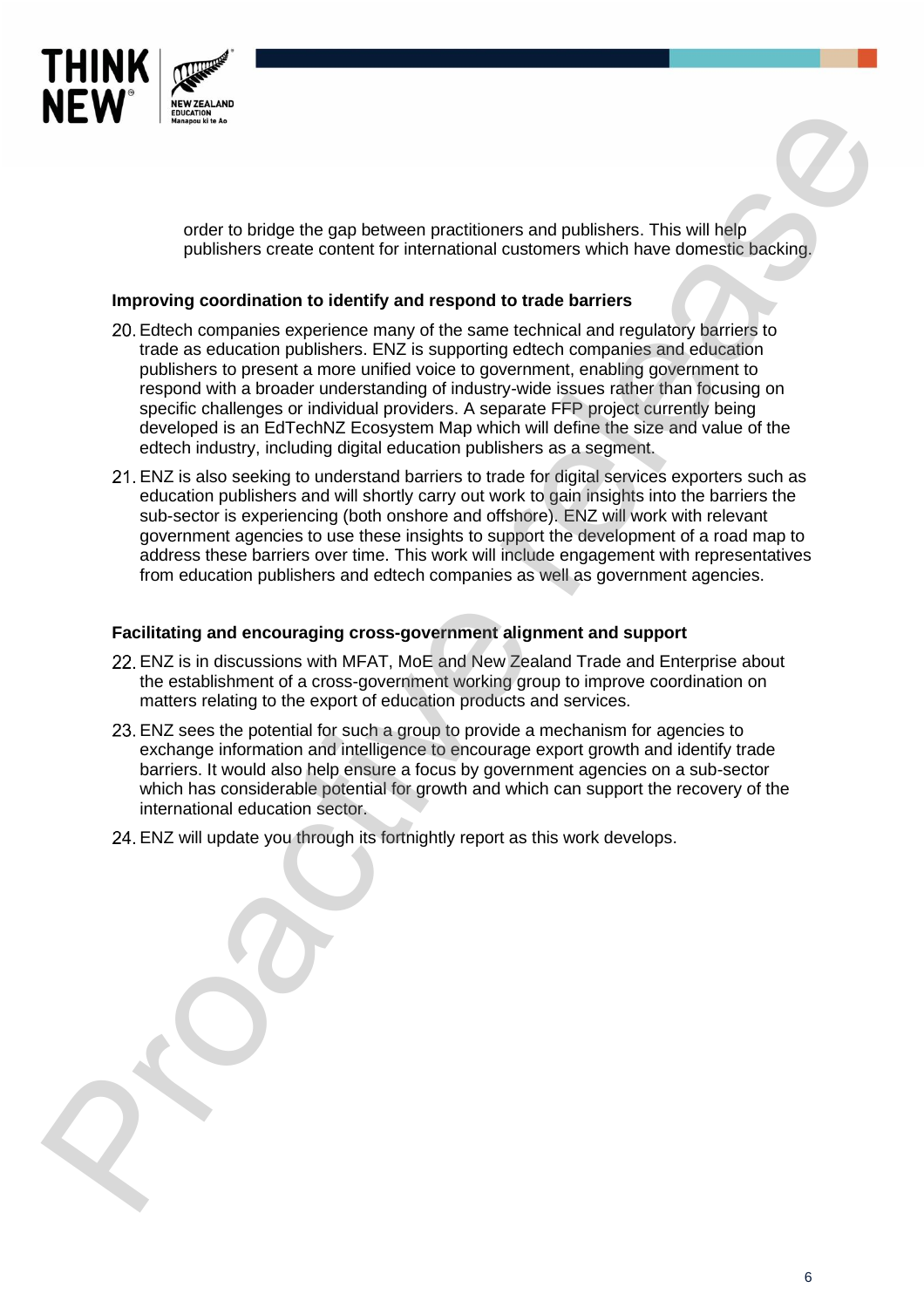

order to bridge the gap between practitioners and publishers. This will help publishers create content for international customers which have domestic backing.

#### **Improving coordination to identify and respond to trade barriers**

- Edtech companies experience many of the same technical and regulatory barriers to trade as education publishers. ENZ is supporting edtech companies and education publishers to present a more unified voice to government, enabling government to respond with a broader understanding of industry-wide issues rather than focusing on specific challenges or individual providers. A separate FFP project currently being developed is an EdTechNZ Ecosystem Map which will define the size and value of the edtech industry, including digital education publishers as a segment. **Profile to be the control of the control of the control of the control of the control of the control of the control of the control of the control of the control of the control of the control of the control of the control** 
	- ENZ is also seeking to understand barriers to trade for digital services exporters such as education publishers and will shortly carry out work to gain insights into the barriers the sub-sector is experiencing (both onshore and offshore). ENZ will work with relevant government agencies to use these insights to support the development of a road map to address these barriers over time. This work will include engagement with representatives from education publishers and edtech companies as well as government agencies.

#### **Facilitating and encouraging cross-government alignment and support**

- ENZ is in discussions with MFAT, MoE and New Zealand Trade and Enterprise about the establishment of a cross-government working group to improve coordination on matters relating to the export of education products and services.
- ENZ sees the potential for such a group to provide a mechanism for agencies to exchange information and intelligence to encourage export growth and identify trade barriers. It would also help ensure a focus by government agencies on a sub-sector which has considerable potential for growth and which can support the recovery of the international education sector.
- ENZ will update you through its fortnightly report as this work develops.